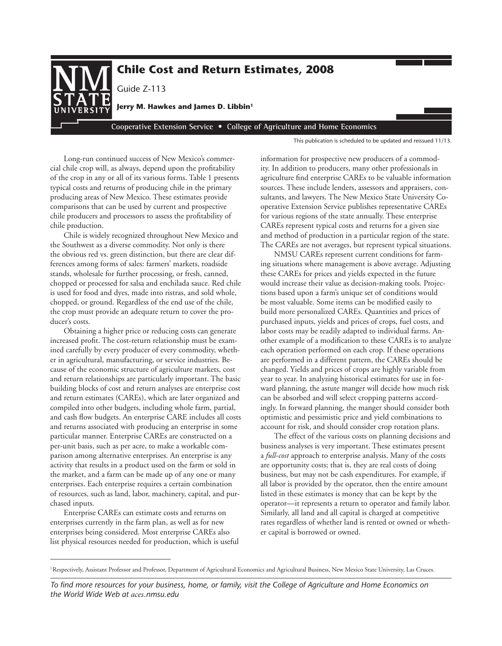

**Cooperative Extension Service • College of Agriculture and Home Economics** 

This publication is scheduled to be updated and reissued 11/13.

Long-run continued success of New Mexico's commercial chile crop will, as always, depend upon the profitability of the crop in any or all of its various forms. Table 1 presents typical costs and returns of producing chile in the primary producing areas of New Mexico. These estimates provide comparisons that can be used by current and prospective chile producers and processors to assess the profitability of chile production.

Chile is widely recognized throughout New Mexico and the Southwest as a diverse commodity. Not only is there the obvious red vs. green distinction, but there are clear differences among forms of sales: farmers' markets, roadside stands, wholesale for further processing, or fresh, canned, chopped or processed for salsa and enchilada sauce. Red chile is used for food and dyes, made into ristras, and sold whole, chopped, or ground. Regardless of the end use of the chile, the crop must provide an adequate return to cover the producer's costs.

Obtaining a higher price or reducing costs can generate increased profit. The cost-return relationship must be examined carefully by every producer of every commodity, whether in agricultural, manufacturing, or service industries. Because of the economic structure of agriculture markets, cost and return relationships are particularly important. The basic building blocks of cost and return analyses are enterprise cost and return estimates (CAREs), which are later organized and compiled into other budgets, including whole farm, partial, and cash flow budgets. An enterprise CARE includes all costs and returns associated with producing an enterprise in some particular manner. Enterprise CAREs are constructed on a per-unit basis, such as per acre, to make a workable comparison among alternative enterprises. An enterprise is any activity that results in a product used on the farm or sold in the market, and a farm can be made up of any one or many enterprises. Each enterprise requires a certain combination of resources, such as land, labor, machinery, capital, and purchased inputs.

Enterprise CAREs can estimate costs and returns on enterprises currently in the farm plan, as well as for new enterprises being considered. Most enterprise CAREs also list physical resources needed for production, which is useful information for prospective new producers of a commodity. In addition to producers, many other professionals in agriculture find enterprise CAREs to be valuable information sources. These include lenders, assessors and appraisers, consultants, and lawyers. The New Mexico State University Cooperative Extension Service publishes representative CAREs for various regions of the state annually. These enterprise CAREs represent typical costs and returns for a given size and method of production in a particular region of the state. The CAREs are not averages, but represent typical situations.

NMSU CAREs represent current conditions for farming situations where management is above average. Adjusting these CAREs for prices and yields expected in the future would increase their value as decision-making tools. Projections based upon a farm's unique set of conditions would be most valuable. Some items can be modified easily to build more personalized CAREs. Quantities and prices of purchased inputs, yields and prices of crops, fuel costs, and labor costs may be readily adapted to individual farms. Another example of a modification to these CAREs is to analyze each operation performed on each crop. If these operations are performed in a different pattern, the CAREs should be changed. Yields and prices of crops are highly variable from year to year. In analyzing historical estimates for use in forward planning, the astute manger will decide how much risk can be absorbed and will select cropping patterns accordingly. In forward planning, the manger should consider both optimistic and pessimistic price and yield combinations to account for risk, and should consider crop rotation plans.

The effect of the various costs on planning decisions and business analyses is very important. These estimates present a *full*-*cost* approach to enterprise analysis. Many of the costs are opportunity costs; that is, they are real costs of doing business, but may not be cash expenditures. For example, if all labor is provided by the operator, then the entire amount listed in these estimates is money that can be kept by the operator—it represents a return to operator and family labor. Similarly, all land and all capital is charged at competitive rates regardless of whether land is rented or owned or whether capital is borrowed or owned.

<sup>&</sup>lt;sup>1</sup>Respectively, Assistant Professor and Professor, Department of Agricultural Economics and Agricultural Business, New Mexico State University, Las Cruces.

*To find more resources for your business, home, or family, visit the College of Agriculture and Home Economics on the World Wide Web at aces.nmsu.edu*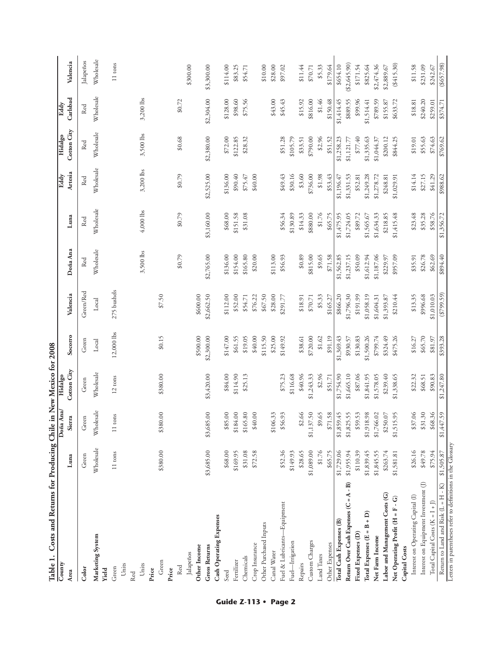| Table 1. Costs and Returns for Producing Chile in New Mexico for 2008<br>$\overline{\text{Comr}}$ |            | Doña Ana/  | Hidalgo           |            |               |            |            | Eddy       | Hidalgo     | Eddy        |               |
|---------------------------------------------------------------------------------------------------|------------|------------|-------------------|------------|---------------|------------|------------|------------|-------------|-------------|---------------|
| Area                                                                                              | Luna       | Sierra     | Cotton City       | Socorro    | Valencia      | Doña Ana   | Luna       | Artesia    | Cotton City | Carlsbad    | Valencia      |
| Color                                                                                             | Green      | Green      | Green             | Green      | Green/Red     | Red        | Red        | Red        | Red         | Red         | Jalapeños     |
| Marketing System<br>Yield                                                                         | Wholesale  | Wholesale  | Wholesale         | Local      | Local         | Wholesale  | Wholesale  | Wholesale  | Wholesale   | Wholesale   | Wholesale     |
| Green                                                                                             | 11 tons    | 11 tons    | $12 \text{ tons}$ | 12,000 lbs | 275 bushels   |            |            |            |             |             | 11 tons       |
| Units                                                                                             |            |            |                   |            |               |            |            |            |             |             |               |
| Red                                                                                               |            |            |                   |            |               |            |            |            |             |             |               |
| Units                                                                                             |            |            |                   |            |               | 3,500 lbs  | 4,000 lbs  | 3,200 lbs  | 3,500 lbs   | $3,200$ lbs |               |
| Price                                                                                             |            |            |                   |            |               |            |            |            |             |             |               |
| Green                                                                                             | \$380.00   | \$380.00   | \$380.00          | \$0.15     | \$7.50        |            |            |            |             |             |               |
| Price                                                                                             |            |            |                   |            |               |            |            |            |             |             |               |
| Red                                                                                               |            |            |                   |            |               | \$0.79     | \$0.79     | \$0.79     | \$0.68      | \$0.72      |               |
| Jalapeños                                                                                         |            |            |                   |            |               |            |            |            |             |             | \$300.00      |
| Other Income                                                                                      |            |            |                   | \$500.00   | \$600.00      |            |            |            |             |             |               |
| <b>Gross Returns</b>                                                                              | \$3,685.00 | \$3,685.00 | \$3,420.00        | \$2,300.00 | \$2,662.50    | \$2,765.00 | \$3,160.00 | \$2,525.00 | \$2,380.00  | \$2,304.00  | \$3,300.00    |
| Cash Operating Expenses                                                                           |            |            |                   |            |               |            |            |            |             |             |               |
| Seed                                                                                              | \$68.00    | \$85.00    | \$84.00           | \$147.00   | \$112.00      | \$136.00   | \$68.00    | \$136.00   | \$72.00     | \$128.00    | \$114.00      |
| Fertilizer                                                                                        | \$169.95   | \$184.00   | \$114.90          | \$61.55    | \$52.00       | \$154.00   | \$151.58   | \$90.40    | \$122.85    | \$98.60     | \$83.25       |
| Chemicals                                                                                         | \$31.08    | \$165.80   | \$25.13           | \$19.05    | \$54.71       | \$165.80   | \$31.08    | \$75.47    | \$28.32     | \$75.56     | \$54.71       |
| Crop Insurance                                                                                    | \$72.58    | \$40.00    |                   | \$40.00    | \$76.22       | \$20.00    |            | \$40.00    |             |             |               |
| Other Purchased Inputs                                                                            |            |            |                   | \$115.50   | \$67.50       |            |            |            |             |             | \$10.00       |
| <b>Canal Water</b>                                                                                |            | \$106.33   |                   | \$25.00    | \$28.00       | \$113.00   |            |            |             | \$43.00     | \$28.00       |
| Fuel & Lubricants-Equipment                                                                       | \$52.36    | \$56.93    | \$75.23           | \$149.92   | \$291.77      | \$56.93    | \$56.34    | \$49.43    | \$51.28     | \$45.43     | \$97.02       |
| Fuel—Irrigation                                                                                   | \$149.93   |            | \$116.68          |            |               |            | \$130.89   | \$30.16    | \$105.79    |             |               |
| Repairs                                                                                           | \$28.65    | \$2.66     | \$40.96           | \$38.61    | \$18.91       | \$0.89     | \$14.33    | \$3.60     | \$33.51     | \$15.92     | \$11.44       |
| Custom Charges                                                                                    | \$1,089.00 | \$1,137.50 | \$1,243.33        | \$720.00   | \$70.71       | \$815.00   | \$880.00   | \$736.00   | \$790.00    | \$816.00    | \$70.71       |
| Land Taxes                                                                                        | \$1.76     | \$9.65     | \$2.96            | \$1.62     | \$5.33        | \$9.65     | \$1.76     | \$1.98     | \$2.96      | \$1.46      | \$5.33        |
| Other Expenses                                                                                    | \$65.75    | \$71.58    | \$51.71           | \$91.19    | \$165.27      | \$71.58    | \$65.75    | \$53.43    | \$51.52     | \$150.48    | \$179.64      |
| Total Cash Expenses (B)                                                                           | \$1,729.06 | \$1,859.45 | \$1,754.90        | \$1,369.43 | \$866.20      | \$1,562.85 | \$1,475.95 | \$1,196.47 | \$1,258.23  | \$1,414.45  | \$654.10      |
| Return Over Cash Expenses (C = A - B)                                                             | \$1,955.94 | \$1,825.55 | \$1,665.10        | \$930.57   | \$1,796.30    | \$1,237.15 | \$1,724.05 | \$1,331.53 | \$1,121.77  | \$889.55    | ( \$2,645.90) |
| Fixed Expenses (D)                                                                                | \$110.39   | \$59.53    | \$87.06           | \$130.83   | \$191.99      | \$50.09    | \$89.72    | \$52.81    | \$77.40     | \$99.96     | \$171.54      |
| Total Expenses (E = B + D)                                                                        | \$1,839.45 | \$1,918.98 | \$1,841.95        | \$1,500.26 | \$1,058.19    | \$1,612.94 | \$1,565.67 | \$1,249.28 | \$1,335.63  | \$1,514.41  | \$825.64      |
| Net Farm Income                                                                                   | \$1,845.55 | \$1,766.02 | \$1,578.05        | \$799.74   | \$1,604.31    | \$1,187.06 | \$1,634.33 | \$1,278.72 | \$1,044.37  | \$789.59    | \$2,474.36    |
| Labor and Management Costs (G)                                                                    | \$263.74   | \$250.07   | \$239.40          | \$324.49   | \$1,393.87    | \$229.97   | \$218.85   | \$248.81   | \$200.12    | \$155.87    | \$2,889.67    |
| Net Operating Profit (H = F - G)                                                                  | \$1,581.81 | \$1,515.95 | \$1,338.65        | \$475.26   | \$210.44      | \$957.09   | \$1,415.48 | \$1,029.91 | \$844.25    | \$633.72    | ( \$415.30)   |
| Capital Costs                                                                                     |            |            |                   |            |               |            |            |            |             |             |               |
| Interest on Operating Capital (I)                                                                 | \$26.16    | \$37.06    | \$22.32           | \$16.27    | \$13.35       | \$35.91    | \$23.48    | \$14.14    | \$19.01     | \$18.81     | \$11.58       |
| Interest on Equipment Investment (J)                                                              | \$49.78    | \$31.30    | \$68.51           | \$65.70    | \$996.68      | \$26.78    | \$35.28    | \$27.15    | \$55.63     | \$240.20    | \$231.09      |
| Total Capital Costs $(K = I + J)$                                                                 | \$75.94    | \$68.36    | \$90.83           | \$81.97    | \$1,010.03    | \$62.69    | \$58.76    | \$41.29    | \$74.63     | \$259.01    | \$242.67      |
| Return to Land and Risk (L = H - K)                                                               | \$1,505.87 | \$1,447.59 | \$1,247.80        | \$393.28   | $($ \$799.59) | \$894.40   | \$1,356.72 | \$988.62   | \$769.62    | \$374.71    | ( \$657.98)   |
| Letters in parentheses refer to definitions in the Glossary                                       |            |            |                   |            |               |            |            |            |             |             |               |

**Guide Z-113 • Page 2**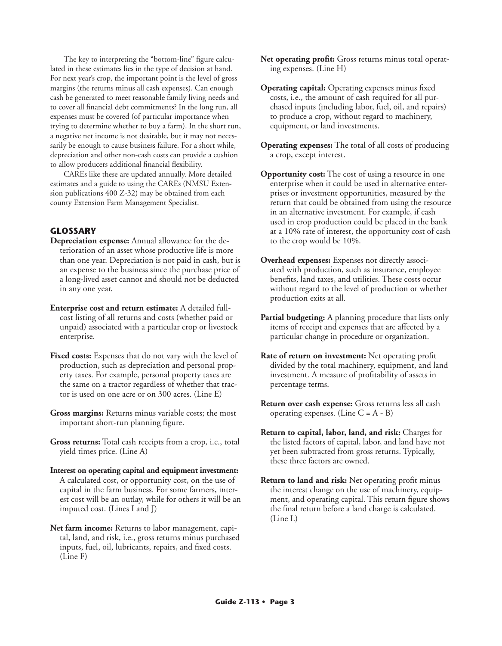The key to interpreting the "bottom-line" figure calculated in these estimates lies in the type of decision at hand. For next year's crop, the important point is the level of gross margins (the returns minus all cash expenses). Can enough cash be generated to meet reasonable family living needs and to cover all financial debt commitments? In the long run, all expenses must be covered (of particular importance when trying to determine whether to buy a farm). In the short run, a negative net income is not desirable, but it may not necessarily be enough to cause business failure. For a short while, depreciation and other non-cash costs can provide a cushion to allow producers additional financial flexibility.

CAREs like these are updated annually. More detailed estimates and a guide to using the CAREs (NMSU Extension publications 400 Z-32) may be obtained from each county Extension Farm Management Specialist.

## **GLOSSARY**

- **Depreciation expense:** Annual allowance for the deterioration of an asset whose productive life is more than one year. Depreciation is not paid in cash, but is an expense to the business since the purchase price of a long-lived asset cannot and should not be deducted in any one year.
- **Enterprise cost and return estimate:** A detailed fullcost listing of all returns and costs (whether paid or unpaid) associated with a particular crop or livestock enterprise.
- **Fixed costs:** Expenses that do not vary with the level of production, such as depreciation and personal property taxes. For example, personal property taxes are the same on a tractor regardless of whether that tractor is used on one acre or on 300 acres. (Line E)
- **Gross margins:** Returns minus variable costs; the most important short-run planning figure.
- **Gross returns:** Total cash receipts from a crop, i.e., total yield times price. (Line A)
- **Interest on operating capital and equipment investment:**  A calculated cost, or opportunity cost, on the use of capital in the farm business. For some farmers, interest cost will be an outlay, while for others it will be an imputed cost. (Lines I and J)
- **Net farm income:** Returns to labor management, capital, land, and risk, i.e., gross returns minus purchased inputs, fuel, oil, lubricants, repairs, and fixed costs. (Line F)
- **Net operating profit:** Gross returns minus total operating expenses. (Line H)
- **Operating capital:** Operating expenses minus fixed costs, i.e., the amount of cash required for all purchased inputs (including labor, fuel, oil, and repairs) to produce a crop, without regard to machinery, equipment, or land investments.
- **Operating expenses:** The total of all costs of producing a crop, except interest.
- **Opportunity cost:** The cost of using a resource in one enterprise when it could be used in alternative enterprises or investment opportunities, measured by the return that could be obtained from using the resource in an alternative investment. For example, if cash used in crop production could be placed in the bank at a 10% rate of interest, the opportunity cost of cash to the crop would be 10%.
- **Overhead expenses:** Expenses not directly associated with production, such as insurance, employee benefits, land taxes, and utilities. These costs occur without regard to the level of production or whether production exits at all.
- **Partial budgeting:** A planning procedure that lists only items of receipt and expenses that are affected by a particular change in procedure or organization.
- **Rate of return on investment:** Net operating profit divided by the total machinery, equipment, and land investment. A measure of profitability of assets in percentage terms.
- **Return over cash expense:** Gross returns less all cash operating expenses. (Line  $C = A - B$ )
- **Return to capital, labor, land, and risk:** Charges for the listed factors of capital, labor, and land have not yet been subtracted from gross returns. Typically, these three factors are owned.
- **Return to land and risk:** Net operating profit minus the interest change on the use of machinery, equipment, and operating capital. This return figure shows the final return before a land charge is calculated. (Line L)